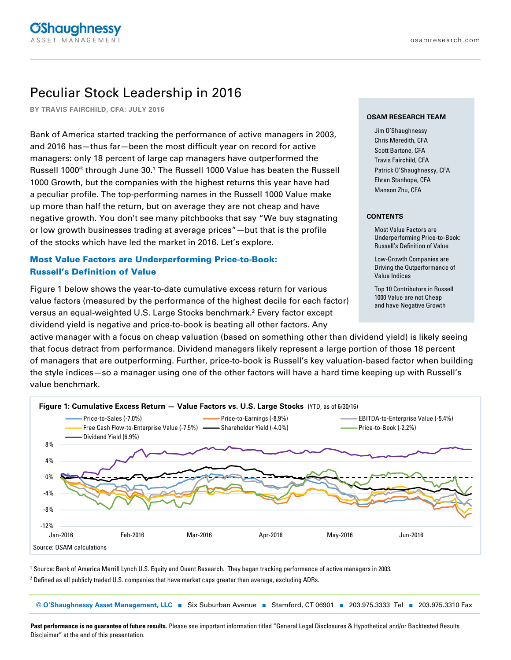# Peculiar Stock Leadership in 2016

**BY TRAVIS FAIRCHILD, CFA: JULY 2016**

Bank of America started tracking the performance of active managers in 2003, and 2016 has—thus far—been the most difficult year on record for active managers: only 18 percent of large cap managers have outperformed the Russell 1000 $^\circ$  through June 30. $^1$  The Russell 1000 Value has beaten the Russell 1000 Growth, but the companies with the highest returns this year have had a peculiar profile. The top-performing names in the Russell 1000 Value make up more than half the return, but on average they are not cheap and have negative growth. You don't see many pitchbooks that say "We buy stagnating or low growth businesses trading at average prices"—but that is the profile of the stocks which have led the market in 2016. Let's explore.

# Most Value Factors are Underperforming Price-to-Book: Russell's Definition of Value

Figure 1 below shows the year-to-date cumulative excess return for various value factors (measured by the performance of the highest decile for each factor) versus an equal-weighted U.S. Large Stocks benchmark.<sup>2</sup> Every factor except dividend yield is negative and price-to-book is beating all other factors. Any

#### **OSAM RESEARCH TEAM**

Jim O'Shaughnessy Chris Meredith, CFA Scott Bartone, CFA Travis Fairchild, CFA Patrick O'Shaughnessy, CFA Ehren Stanhope, CFA Manson Zhu, CFA

#### **CONTENTS**

Most Value Factors are Underperforming Price-to-Book: Russell's Definition of Value

Low-Growth Companies are Driving the Outperformance of Value Indices

Top 10 Contributors in Russell 1000 Value are not Cheap and have Negative Growth

active manager with a focus on cheap valuation (based on something other than dividend yield) is likely seeing that focus detract from performance. Dividend managers likely represent a large portion of those 18 percent of managers that are outperforming. Further, price-to-book is Russell's key valuation-based factor when building the style indices—so a manager using one of the other factors will have a hard time keeping up with Russell's value benchmark.



1 Source: Bank of America Merrill Lynch U.S. Equity and Quant Research. They began tracking performance of active managers in 2003.

 $^{\rm 2}$  Defined as all publicly traded U.S. companies that have market caps greater than average, excluding ADRs.

© O'Shaughnessy Asset Management, LLC | Six Suburban Avenue | Stamford, CT 06901 | 203.975.3333 Tel | 203.975.3310 Fax

**Past performance is no guarantee of future results.** Please see important information titled "General Legal Disclosures & Hypothetical and/or Backtested Results Disclaimer" at the end of this presentation.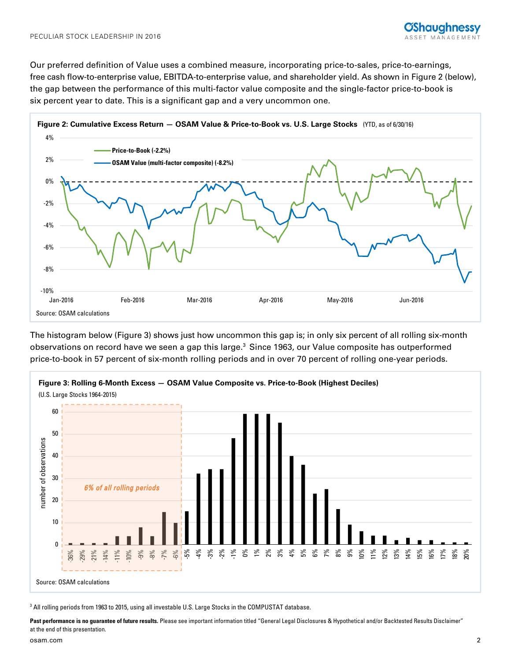Our preferred definition of Value uses a combined measure, incorporating price-to-sales, price-to-earnings, free cash flow-to-enterprise value, EBITDA-to-enterprise value, and shareholder yield. As shown in Figure 2 (below), the gap between the performance of this multi-factor value composite and the single-factor price-to-book is six percent year to date. This is a significant gap and a very uncommon one.



The histogram below (Figure 3) shows just how uncommon this gap is; in only six percent of all rolling six-month observations on record have we seen a gap this large.<sup>3</sup> Since 1963, our Value composite has outperformed price-to-book in 57 percent of six-month rolling periods and in over 70 percent of rolling one-year periods.



 $^3$  All rolling periods from 1963 to 2015, using all investable U.S. Large Stocks in the COMPUSTAT database.

Past performance is no guarantee of future results. Please see important information titled "General Legal Disclosures & Hypothetical and/or Backtested Results Disclaimer" at the end of this presentation.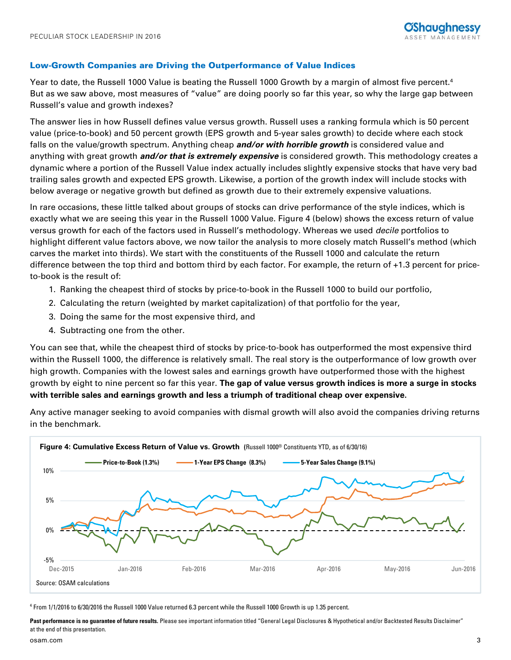## Low-Growth Companies are Driving the Outperformance of Value Indices

Year to date, the Russell 1000 Value is beating the Russell 1000 Growth by a margin of almost five percent.4 But as we saw above, most measures of "value" are doing poorly so far this year, so why the large gap between Russell's value and growth indexes?

The answer lies in how Russell defines value versus growth. Russell uses a ranking formula which is 50 percent value (price-to-book) and 50 percent growth (EPS growth and 5-year sales growth) to decide where each stock falls on the value/growth spectrum. Anything cheap **and/or with horrible growth** is considered value and anything with great growth **and/or that is extremely expensive** is considered growth. This methodology creates a dynamic where a portion of the Russell Value index actually includes slightly expensive stocks that have very bad trailing sales growth and expected EPS growth. Likewise, a portion of the growth index will include stocks with below average or negative growth but defined as growth due to their extremely expensive valuations.

In rare occasions, these little talked about groups of stocks can drive performance of the style indices, which is exactly what we are seeing this year in the Russell 1000 Value. Figure 4 (below) shows the excess return of value versus growth for each of the factors used in Russell's methodology. Whereas we used decile portfolios to highlight different value factors above, we now tailor the analysis to more closely match Russell's method (which carves the market into thirds). We start with the constituents of the Russell 1000 and calculate the return difference between the top third and bottom third by each factor. For example, the return of +1.3 percent for priceto-book is the result of:

- 1. Ranking the cheapest third of stocks by price-to-book in the Russell 1000 to build our portfolio,
- 2. Calculating the return (weighted by market capitalization) of that portfolio for the year,
- 3. Doing the same for the most expensive third, and
- 4. Subtracting one from the other.

You can see that, while the cheapest third of stocks by price-to-book has outperformed the most expensive third within the Russell 1000, the difference is relatively small. The real story is the outperformance of low growth over high growth. Companies with the lowest sales and earnings growth have outperformed those with the highest growth by eight to nine percent so far this year. **The gap of value versus growth indices is more a surge in stocks with terrible sales and earnings growth and less a triumph of traditional cheap over expensive.**

Any active manager seeking to avoid companies with dismal growth will also avoid the companies driving returns in the benchmark.



4 From 1/1/2016 to 6/30/2016 the Russell 1000 Value returned 6.3 percent while the Russell 1000 Growth is up 1.35 percent.

Past performance is no guarantee of future results. Please see important information titled "General Legal Disclosures & Hypothetical and/or Backtested Results Disclaimer" at the end of this presentation.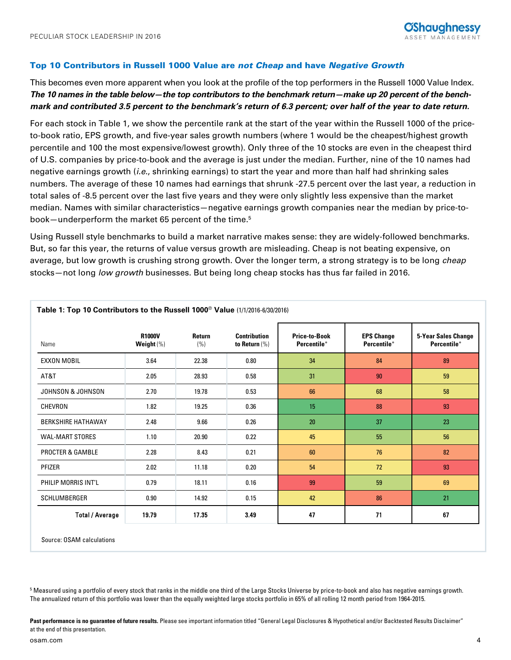## Top 10 Contributors in Russell 1000 Value are not Cheap and have Negative Growth

This becomes even more apparent when you look at the profile of the top performers in the Russell 1000 Value Index. **The 10 names in the table below—the top contributors to the benchmark return—make up 20 percent of the benchmark and contributed 3.5 percent to the benchmark's return of 6.3 percent; over half of the year to date return.**

For each stock in Table 1, we show the percentile rank at the start of the year within the Russell 1000 of the priceto-book ratio, EPS growth, and five-year sales growth numbers (where 1 would be the cheapest/highest growth percentile and 100 the most expensive/lowest growth). Only three of the 10 stocks are even in the cheapest third of U.S. companies by price-to-book and the average is just under the median. Further, nine of the 10 names had negative earnings growth (i.e., shrinking earnings) to start the year and more than half had shrinking sales numbers. The average of these 10 names had earnings that shrunk -27.5 percent over the last year, a reduction in total sales of -8.5 percent over the last five years and they were only slightly less expensive than the market median. Names with similar characteristics—negative earnings growth companies near the median by price-tobook—underperform the market 65 percent of the time.<sup>5</sup>

Using Russell style benchmarks to build a market narrative makes sense: they are widely-followed benchmarks. But, so far this year, the returns of value versus growth are misleading. Cheap is not beating expensive, on average, but low growth is crushing strong growth. Over the longer term, a strong strategy is to be long cheap stocks—not long low growth businesses. But being long cheap stocks has thus far failed in 2016.

| Name                        | <b>R1000V</b><br>Weight $(\%)$ | <b>Return</b><br>(% ) | <b>Contribution</b><br>to Return $(\%)$ | <b>Price-to-Book</b><br>Percentile* | <b>EPS Change</b><br>Percentile* | <b>5-Year Sales Change</b><br>Percentile* |
|-----------------------------|--------------------------------|-----------------------|-----------------------------------------|-------------------------------------|----------------------------------|-------------------------------------------|
| <b>EXXON MOBIL</b>          | 3.64                           | 22.38                 | 0.80                                    | 34                                  | 84                               | 89                                        |
| AT&T                        | 2.05                           | 28.93                 | 0.58                                    | 31                                  | 90                               | 59                                        |
| JOHNSON & JOHNSON           | 2.70                           | 19.78                 | 0.53                                    | 66                                  | 68                               | 58                                        |
| CHEVRON                     | 1.82                           | 19.25                 | 0.36                                    | 15                                  | 88                               | 93                                        |
| <b>BERKSHIRE HATHAWAY</b>   | 2.48                           | 9.66                  | 0.26                                    | 20                                  | 37                               | 23                                        |
| <b>WAL-MART STORES</b>      | 1.10                           | 20.90                 | 0.22                                    | 45                                  | 55                               | 56                                        |
| <b>PROCTER &amp; GAMBLE</b> | 2.28                           | 8.43                  | 0.21                                    | 60                                  | 76                               | 82                                        |
| <b>PFIZER</b>               | 2.02                           | 11.18                 | 0.20                                    | 54                                  | 72                               | 93                                        |
| PHILIP MORRIS INT'L         | 0.79                           | 18.11                 | 0.16                                    | 99                                  | 59                               | 69                                        |
| <b>SCHLUMBERGER</b>         | 0.90                           | 14.92                 | 0.15                                    | 42                                  | 86                               | 21                                        |
| <b>Total / Average</b>      | 19.79                          | 17.35                 | 3.49                                    | 47                                  | 71                               | 67                                        |

**Table 1: Top 10 Contributors to the Russell 1000**® **Value** (1/1/2016-6/30/2016)

Source: OSAM calculations

 $^5$  Measured using a portfolio of every stock that ranks in the middle one third of the Large Stocks Universe by price-to-book and also has negative earnings growth. The annualized return of this portfolio was lower than the equally weighted large stocks portfolio in 65% of all rolling 12 month period from 1964-2015.

Past performance is no guarantee of future results. Please see important information titled "General Legal Disclosures & Hypothetical and/or Backtested Results Disclaimer" at the end of this presentation.